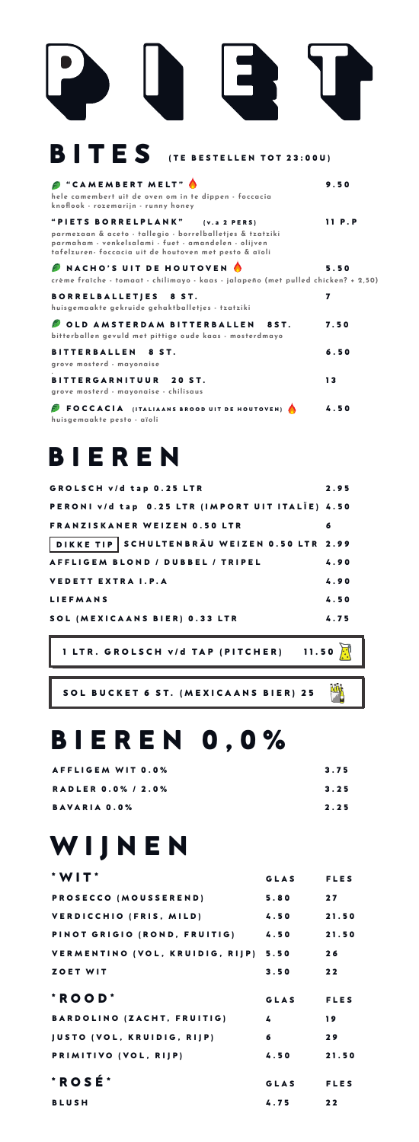| <b>BITES</b><br>(TE BESTELLEN TOT 23:00U)                                                                                                                                                                          |        |
|--------------------------------------------------------------------------------------------------------------------------------------------------------------------------------------------------------------------|--------|
| "CAMEMBERT MELT"<br>hele camembert uit de oven om in te dippen - foccacia<br>knoflook - rozemarijn - runny honey                                                                                                   | 9.50   |
| "PIETS BORRELPLANK"<br>(v.a 2 PERS)<br>parmezaan & aceto - tallegio - borrelballetjes & tzatziki<br>parmaham - venkelsalami - fuet - amandelen - olijven<br>tafelzuren- foccacia uit de houtoven met pesto & aïoli | 11 P.P |
| NACHO'S UIT DE HOUTOVEN<br>crème fraîche - tomaat - chilimayo - kaas - jalapeño (met pulled chicken? + 2,50)                                                                                                       | 5.50   |
| <b>BORRELBALLETJES</b><br>8 ST.<br>huisgemaakte gekruide gehaktballetjes - tzatziki                                                                                                                                | 7      |
| OLD AMSTERDAM BITTERBALLEN<br><b>8ST.</b><br>bitterballen gevuld met pittige oude kaas - mosterdmayo                                                                                                               | 7.50   |
| <b>BITTERBALLEN</b><br>8 ST.<br>grove mosterd - mayonaise                                                                                                                                                          | 6.50   |
| <b>BITTERGARNITUUR</b><br>20 ST.<br>grove mosterd - mayonaise - chilisaus                                                                                                                                          | 13     |
| <b>FOCCACIA</b> (ITALIAANS BROOD UIT DE HOUTOVEN)<br>huisgemaakte pesto - aïoli                                                                                                                                    | 4.50   |

#### **BIEREN**

| GROLSCH v/d tap 0.25 LTR                         | 2.95 |
|--------------------------------------------------|------|
| PERONI v/d tap 0.25 LTR (IMPORT UIT ITALIE) 4.50 |      |
| <b>FRANZISKANER WEIZEN 0.50 LTR</b>              | 6    |
| DIKKE TIP SCHULTENBRÄU WEIZEN 0.50 LTR 2.99      |      |
| AFFLIGEM BLOND / DUBBEL / TRIPEL                 | 4.90 |
| <b>VEDETT EXTRA I.P.A</b>                        | 4.90 |
| <b>LIEFMANS</b>                                  | 4.50 |
| SOL (MEXICAANS BIER) 0.33 LTR                    | 4.75 |

**1 LTR. GROLSCH v/d TAP (PITCHER) 11.50**

四

**SOL BUCKET 6 ST. (MEXICAANS BIER) 25**

#### **BIEREN 0,0%**

| AFFLIGEM WIT 0.0%         | 3.75 |
|---------------------------|------|
| <b>RADLER 0.0% / 2.0%</b> | 3.25 |
| <b>BAVARIA 0.0%</b>       | 2.25 |

## **WIJNEN**

| $*$ WIT $*$                          | GLAS        | <b>FLES</b> |
|--------------------------------------|-------------|-------------|
| PROSECCO (MOUSSEREND)                | 5.80        | 27          |
| VERDICCHIO (FRIS, MILD)              | 4.50        | 21.50       |
| PINOT GRIGIO (ROND, FRUITIG)         | 4.50        | 21.50       |
| VERMENTINO (VOL. KRUIDIG. RIJP) 5.50 |             | 26          |
| ZOET WIT                             | 3.50        | 22          |
| $*$ ROOD $*$                         | <b>GLAS</b> | <b>FLES</b> |
| BARDOLINO (ZACHT, FRUITIG)           | 4           | 19          |
| <b>JUSTO (VOL, KRUIDIG, RIJP)</b>    | 6           | 29          |
| PRIMITIVO (VOL, RIJP)                | 4.50        | 21.50       |
| *ROSÉ*                               | <b>GLAS</b> | <b>FLES</b> |
| <b>BLUSH</b>                         | 4.75        | 22          |